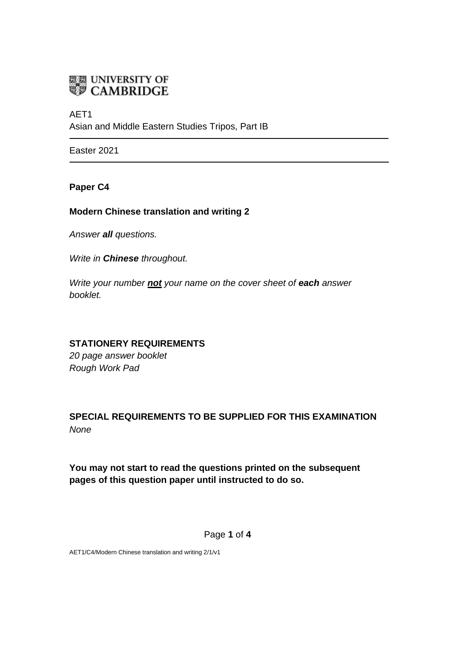

AET1 Asian and Middle Eastern Studies Tripos, Part IB

Easter 2021

### **Paper C4**

## **Modern Chinese translation and writing 2**

*Answer all questions.*

*Write in Chinese throughout.*

*Write your number not your name on the cover sheet of each answer booklet.* 

## **STATIONERY REQUIREMENTS**

*20 page answer booklet Rough Work Pad*

# **SPECIAL REQUIREMENTS TO BE SUPPLIED FOR THIS EXAMINATION** *None*

**You may not start to read the questions printed on the subsequent pages of this question paper until instructed to do so.**

#### Page **1** of **4**

AET1/C4/Modern Chinese translation and writing 2/1/v1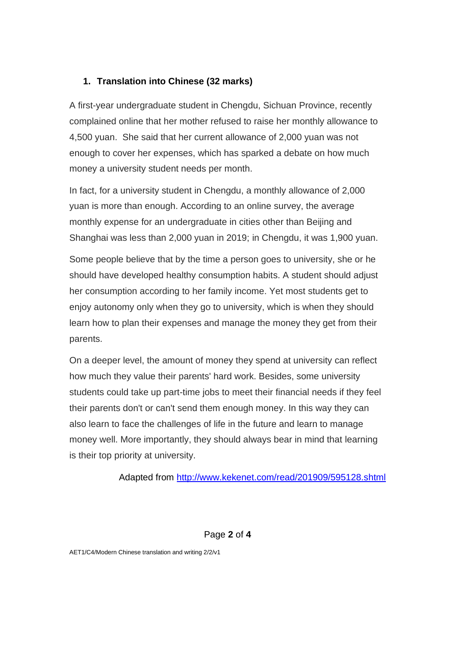## **1. Translation into Chinese (32 marks)**

A first-year undergraduate student in Chengdu, Sichuan Province, recently complained online that her mother refused to raise her monthly allowance to 4,500 yuan. She said that her current allowance of 2,000 yuan was not enough to cover her expenses, which has sparked a debate on how much money a university student needs per month.

In fact, for a university student in Chengdu, a monthly allowance of 2,000 yuan is more than enough. According to an online survey, the average monthly expense for an undergraduate in cities other than Beijing and Shanghai was less than 2,000 yuan in 2019; in Chengdu, it was 1,900 yuan.

Some people believe that by the time a person goes to university, she or he should have developed healthy consumption habits. A student should adjust her consumption according to her family income. Yet most students get to enjoy autonomy only when they go to university, which is when they should learn how to plan their expenses and manage the money they get from their parents.

On a deeper level, the amount of money they spend at university can reflect how much they value their parents' hard work. Besides, some university students could take up part-time jobs to meet their financial needs if they feel their parents don't or can't send them enough money. In this way they can also learn to face the challenges of life in the future and learn to manage money well. More importantly, they should always bear in mind that learning is their top priority at university.

Adapted from<http://www.kekenet.com/read/201909/595128.shtml>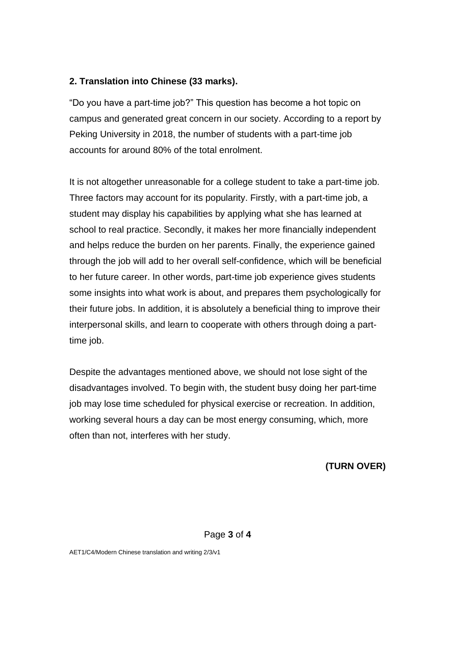## **2. Translation into Chinese (33 marks).**

"Do you have a part-time job?" This question has become a hot topic on campus and generated great concern in our society. According to a report by Peking University in 2018, the number of students with a part-time job accounts for around 80% of the total enrolment.

It is not altogether unreasonable for a college student to take a part-time job. Three factors may account for its popularity. Firstly, with a part-time job, a student may display his capabilities by applying what she has learned at school to real practice. Secondly, it makes her more financially independent and helps reduce the burden on her parents. Finally, the experience gained through the job will add to her overall self-confidence, which will be beneficial to her future career. In other words, part-time job experience gives students some insights into what work is about, and prepares them psychologically for their future jobs. In addition, it is absolutely a beneficial thing to improve their interpersonal skills, and learn to cooperate with others through doing a parttime job.

Despite the advantages mentioned above, we should not lose sight of the disadvantages involved. To begin with, the student busy doing her part-time job may lose time scheduled for physical exercise or recreation. In addition, working several hours a day can be most energy consuming, which, more often than not, interferes with her study.

**(TURN OVER)**

#### Page **3** of **4**